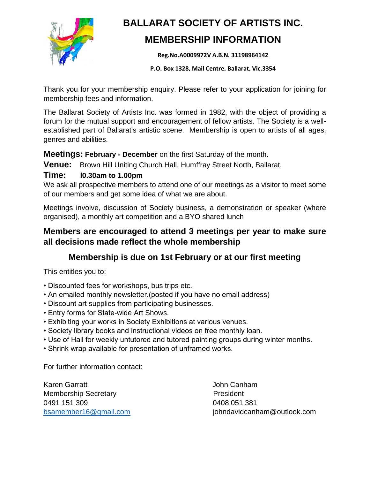

## **BALLARAT SOCIETY OF ARTISTS INC.**

## **MEMBERSHIP INFORMATION**

**Reg.No.A0009972V A.B.N. 31198964142** 

**P.O. Box 1328, Mail Centre, Ballarat, Vic.3354**

Thank you for your membership enquiry. Please refer to your application for joining for membership fees and information.

The Ballarat Society of Artists Inc. was formed in 1982, with the object of providing a forum for the mutual support and encouragement of fellow artists. The Society is a wellestablished part of Ballarat's artistic scene. Membership is open to artists of all ages, genres and abilities.

#### **Meetings: February - December** on the first Saturday of the month.

Venue: Brown Hill Uniting Church Hall, Humffray Street North, Ballarat.

#### **Time: l0.30am to 1.00pm**

We ask all prospective members to attend one of our meetings as a visitor to meet some of our members and get some idea of what we are about.

Meetings involve, discussion of Society business, a demonstration or speaker (where organised), a monthly art competition and a BYO shared lunch

### **Members are encouraged to attend 3 meetings per year to make sure all decisions made reflect the whole membership**

## **Membership is due on 1st February or at our first meeting**

This entitles you to:

- Discounted fees for workshops, bus trips etc.
- An emailed monthly newsletter.(posted if you have no email address)
- Discount art supplies from participating businesses.
- Entry forms for State-wide Art Shows.
- Exhibiting your works in Society Exhibitions at various venues.
- Society library books and instructional videos on free monthly loan.
- Use of Hall for weekly untutored and tutored painting groups during winter months.
- Shrink wrap available for presentation of unframed works.

For further information contact:

Karen Garratt **John Canham** Membership Secretary **President** 0491 151 309 0408 051 381

[bsamember16@gmail.com](mailto:bsamember16@gmail.com) in the settlement of the samember16@gmail.com